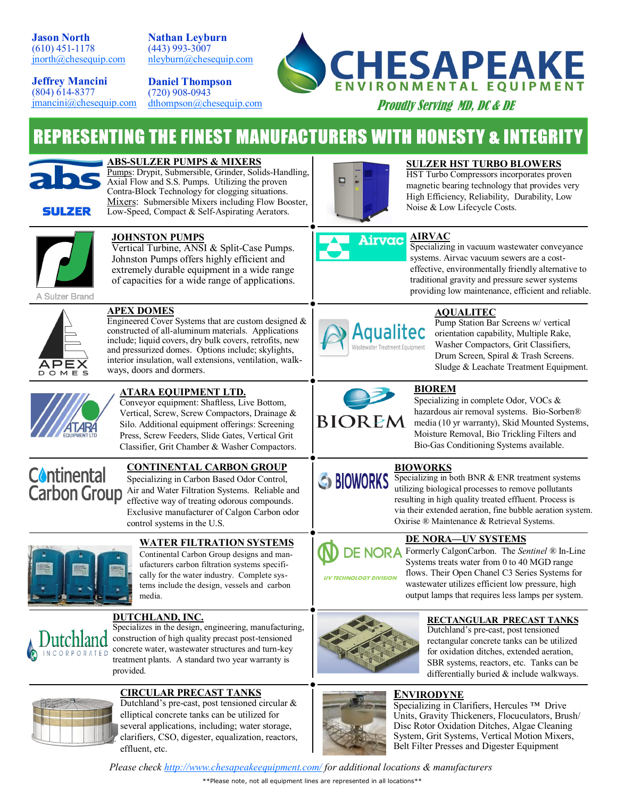**Jason North** (610) 451-1178 [jnorth@chesequip.com](mailto:jnorth@chesequip.com?subject=CEE%20LINE%20CARD)

**Nathan Leyburn** (443) 993-3007 [nleyburn@chesequip.com](mailto:nleyburn@chesequip.com?subject=CEE%20LINE%20CARD)

**Jeffrey Mancini** (804) 614-8377 [jmancini@chesequip.com](mailto:jmancini@chesequip.com?subject=CEE%20LINE%20CARD)

**Daniel Thompson** (720) 908-0943 [dthompson@chesequip.com](mailto:nleyburn@chesequip.com?subject=CEE%20LINE%20CARD)



Proudly Serving MD, DC & DE

# **REPRESENTING THE FINEST MANUFACTURERS WITH HONESTY & INTEGRITY**



**SULZER** 

**ABS-SULZER PUMPS & MIXERS** Pumps: Drypit, Submersible, Grinder, Solids-Handling,

Axial Flow and S.S. Pumps. Utilizing the proven Contra-Block Technology for clogging situations. Mixers: Submersible Mixers including Flow Booster, Low-Speed, Compact & Self-Aspirating Aerators.



## **SULZER HST TURBO BLOWERS**

HST Turbo Compressors incorporates proven magnetic bearing technology that provides very High Efficiency, Reliability, Durability, Low Noise & Low Lifecycle Costs.



## **JOHNSTON PUMPS**

**APEX DOMES**

ways, doors and dormers.

Vertical Turbine, ANSI & Split-Case Pumps. Johnston Pumps offers highly efficient and extremely durable equipment in a wide range of capacities for a wide range of applications.

Engineered Cover Systems that are custom designed & constructed of all-aluminum materials. Applications include; liquid covers, dry bulk covers, retrofits, new and pressurized domes. Options include; skylights, interior insulation, wall extensions, ventilation, walk-



## **AIRVAC**

Specializing in vacuum wastewater conveyance systems. Airvac vacuum sewers are a costeffective, environmentally friendly alternative to traditional gravity and pressure sewer systems providing low maintenance, efficient and reliable.



## **AQUALITEC**

Pump Station Bar Screens w/ vertical orientation capability, Multiple Rake, Washer Compactors, Grit Classifiers, Drum Screen, Spiral & Trash Screens. Sludge & Leachate Treatment Equipment.



# **ATARA EQUIPMENT LTD.**

Conveyor equipment: Shaftless, Live Bottom, Vertical, Screw, Screw Compactors, Drainage & Silo. Additional equipment offerings: Screening Press, Screw Feeders, Slide Gates, Vertical Grit Classifier, Grit Chamber & Washer Compactors.

# **Continental**

# **CONTINENTAL CARBON GROUP**

Specializing in Carbon Based Odor Control, **Carbon Group** Air and Water Filtration Systems. Reliable and effective way of treating odorous compounds. Exclusive manufacturer of Calgon Carbon odor control systems in the U.S.



# **WATER FILTRATION SYSTEMS**

Continental Carbon Group designs and manufacturers carbon filtration systems specifically for the water industry. Complete systems include the design, vessels and carbon media.

# NCORPORATED

#### **DUTCHLAND, INC.** Specializes in the design, engineering, manufacturing, construction of high quality precast post-tensioned concrete water, wastewater structures and turn-key treatment plants. A standard two year warranty is provided.



**CIRCULAR PRECAST TANKS** Dutchland's pre-cast, post tensioned circular & elliptical concrete tanks can be utilized for several applications, including; water storage, clarifiers, CSO, digester, equalization, reactors,

# **BIOREM**

Specializing in complete Odor, VOCs & hazardous air removal systems. Bio-Sorben® media (10 yr warranty), Skid Mounted Systems, Moisture Removal, Bio Trickling Filters and Bio-Gas Conditioning Systems available.

# **BIOWORKS**

 $\bigcirc$  BIOWORKS  $\frac{\overbrace{\text{Secondizing in both BNR}}}{\text{optimal procedure to remove nulltrate}}$ utilizing biological processes to remove pollutants resulting in high quality treated effluent. Process is via their extended aeration, fine bubble aeration system. Oxirise ® Maintenance & Retrieval Systems.

# **DE NORA**

BIOREM

**UV TECHNOLOGY DIVISION** 

**DE NORA—UV SYSTEMS** Formerly CalgonCarbon. The *Sentinel ®* In-Line Systems treats water from 0 to 40 MGD range flows. Their Open Chanel C3 Series Systems for wastewater utilizes efficient low pressure, high output lamps that requires less lamps per system.



# **RECTANGULAR PRECAST TANKS**

Dutchland's pre-cast, post tensioned rectangular concrete tanks can be utilized for oxidation ditches, extended aeration, SBR systems, reactors, etc. Tanks can be differentially buried & include walkways.

# **ENVIRODYNE**



Specializing in Clarifiers, Hercules<sup>™</sup> Drive Units, Gravity Thickeners, Flocuculators, Brush/ Disc Rotor Oxidation Ditches, Algae Cleaning System, Grit Systems, Vertical Motion Mixers, Belt Filter Presses and Digester Equipment

*Please check [http://www.chesapeakeequipment.com/](http://www.chesapeakeequipment.com) for additional locations & manufacturers*